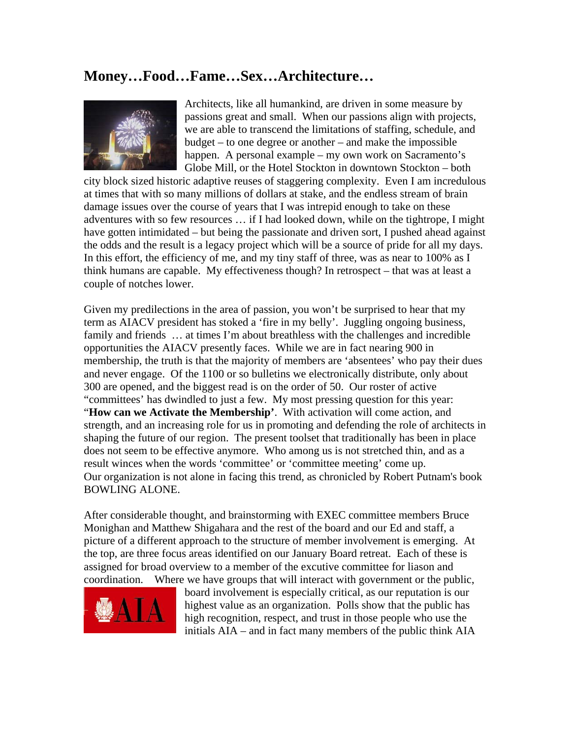## **Money…Food…Fame…Sex…Architecture…**



Architects, like all humankind, are driven in some measure by passions great and small. When our passions align with projects, we are able to transcend the limitations of staffing, schedule, and budget – to one degree or another – and make the impossible happen. A personal example – my own work on Sacramento's Globe Mill, or the Hotel Stockton in downtown Stockton – both

city block sized historic adaptive reuses of staggering complexity. Even I am incredulous at times that with so many millions of dollars at stake, and the endless stream of brain damage issues over the course of years that I was intrepid enough to take on these adventures with so few resources … if I had looked down, while on the tightrope, I might have gotten intimidated – but being the passionate and driven sort, I pushed ahead against the odds and the result is a legacy project which will be a source of pride for all my days. In this effort, the efficiency of me, and my tiny staff of three, was as near to 100% as I think humans are capable. My effectiveness though? In retrospect – that was at least a couple of notches lower.

Given my predilections in the area of passion, you won't be surprised to hear that my term as AIACV president has stoked a 'fire in my belly'. Juggling ongoing business, family and friends … at times I'm about breathless with the challenges and incredible opportunities the AIACV presently faces. While we are in fact nearing 900 in membership, the truth is that the majority of members are 'absentees' who pay their dues and never engage. Of the 1100 or so bulletins we electronically distribute, only about 300 are opened, and the biggest read is on the order of 50. Our roster of active "committees' has dwindled to just a few. My most pressing question for this year: "**How can we Activate the Membership'**. With activation will come action, and strength, and an increasing role for us in promoting and defending the role of architects in shaping the future of our region. The present toolset that traditionally has been in place does not seem to be effective anymore. Who among us is not stretched thin, and as a result winces when the words 'committee' or 'committee meeting' come up. Our organization is not alone in facing this trend, as chronicled by Robert Putnam's book [BOWLING ALONE](http://www.bowlingalone.com/).

After considerable thought, and brainstorming with EXEC committee members Bruce Monighan and Matthew Shigahara and the rest of the board and our Ed and staff, a picture of a different approach to the structure of member involvement is emerging. At the top, are three focus areas identified on our January Board retreat. Each of these is assigned for broad overview to a member of the excutive committee for liason and coordination. Where we have groups that will interact with government or the public,



board involvement is especially critical, as our reputation is our highest value as an organization. Polls show that the public has high recognition, respect, and trust in those people who use the initials AIA – and in fact many members of the public think AIA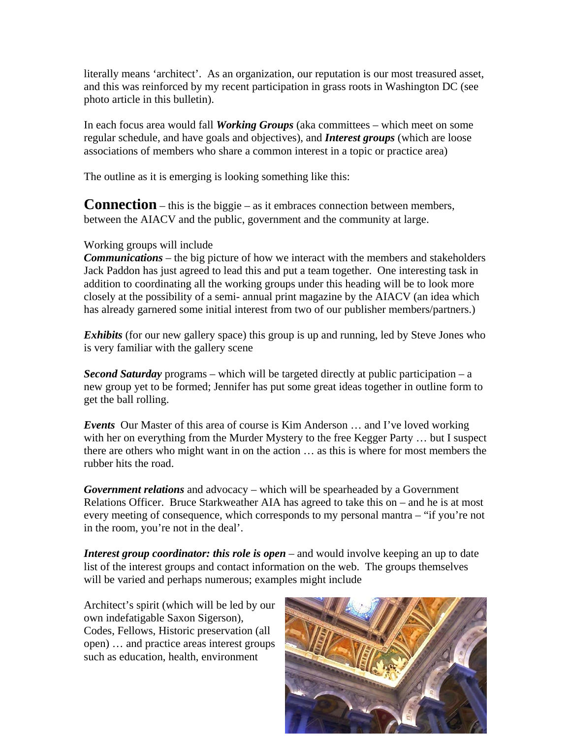literally means 'architect'. As an organization, our reputation is our most treasured asset, and this was reinforced by my recent participation in grass roots in Washington DC (see photo article in this bulletin).

In each focus area would fall *Working Groups* (aka committees – which meet on some regular schedule, and have goals and objectives), and *Interest groups* (which are loose associations of members who share a common interest in a topic or practice area)

The outline as it is emerging is looking something like this:

**Connection** – this is the biggie – as it embraces connection between members, between the AIACV and the public, government and the community at large.

## Working groups will include

*Communications* – the big picture of how we interact with the members and stakeholders Jack Paddon has just agreed to lead this and put a team together. One interesting task in addition to coordinating all the working groups under this heading will be to look more closely at the possibility of a semi- annual print magazine by the AIACV (an idea which has already garnered some initial interest from two of our publisher members/partners.)

*Exhibits* (for our new gallery space) this group is up and running, led by Steve Jones who is very familiar with the gallery scene

*Second Saturday* programs – which will be targeted directly at public participation – a new group yet to be formed; Jennifer has put some great ideas together in outline form to get the ball rolling.

*Events* Our Master of this area of course is Kim Anderson … and I've loved working with her on everything from the Murder Mystery to the free Kegger Party ... but I suspect there are others who might want in on the action … as this is where for most members the rubber hits the road.

*Government relations* and advocacy – which will be spearheaded by a Government Relations Officer. Bruce Starkweather AIA has agreed to take this on – and he is at most every meeting of consequence, which corresponds to my personal mantra – "if you're not in the room, you're not in the deal'.

*Interest group coordinator: this role is open* – and would involve keeping an up to date list of the interest groups and contact information on the web. The groups themselves will be varied and perhaps numerous; examples might include

Architect's spirit (which will be led by our own indefatigable Saxon Sigerson), Codes, Fellows, Historic preservation (all open) … and practice areas interest groups such as education, health, environment

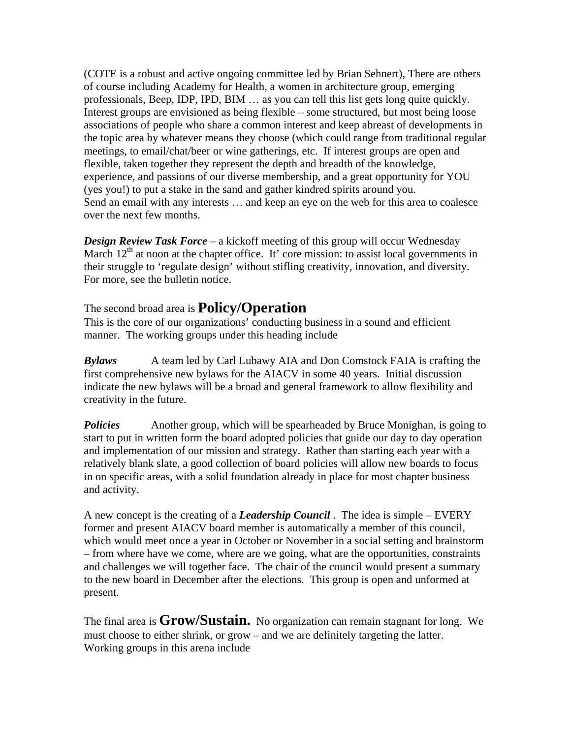(COTE is a robust and active ongoing committee led by Brian Sehnert), There are others of course including Academy for Health, a women in architecture group, emerging professionals, Beep, IDP, IPD, BIM … as you can tell this list gets long quite quickly. Interest groups are envisioned as being flexible – some structured, but most being loose associations of people who share a common interest and keep abreast of developments in the topic area by whatever means they choose (which could range from traditional regular meetings, to email/chat/beer or wine gatherings, etc. If interest groups are open and flexible, taken together they represent the depth and breadth of the knowledge, experience, and passions of our diverse membership, and a great opportunity for YOU (yes you!) to put a stake in the sand and gather kindred spirits around you. Send an email with any interests … and keep an eye on the web for this area to coalesce over the next few months.

*Design Review Task Force* – a kickoff meeting of this group will occur Wednesday March  $12<sup>th</sup>$  at noon at the chapter office. It' core mission: to assist local governments in their struggle to 'regulate design' without stifling creativity, innovation, and diversity. For more, see the bulletin notice.

## The second broad area is **Policy/Operation**

This is the core of our organizations' conducting business in a sound and efficient manner. The working groups under this heading include

*Bylaws* A team led by Carl Lubawy AIA and Don Comstock FAIA is crafting the first comprehensive new bylaws for the AIACV in some 40 years. Initial discussion indicate the new bylaws will be a broad and general framework to allow flexibility and creativity in the future.

*Policies* Another group, which will be spearheaded by Bruce Monighan, is going to start to put in written form the board adopted policies that guide our day to day operation and implementation of our mission and strategy. Rather than starting each year with a relatively blank slate, a good collection of board policies will allow new boards to focus in on specific areas, with a solid foundation already in place for most chapter business and activity.

A new concept is the creating of a *Leadership Council* . The idea is simple – EVERY former and present AIACV board member is automatically a member of this council, which would meet once a year in October or November in a social setting and brainstorm – from where have we come, where are we going, what are the opportunities, constraints and challenges we will together face. The chair of the council would present a summary to the new board in December after the elections. This group is open and unformed at present.

The final area is **Grow/Sustain.** No organization can remain stagnant for long. We must choose to either shrink, or grow – and we are definitely targeting the latter. Working groups in this arena include